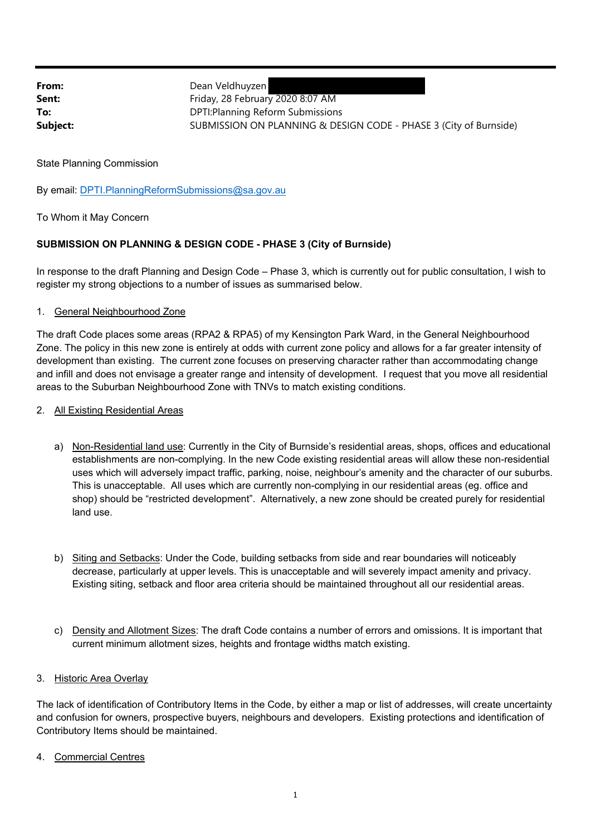From: Dean Veldhuyzen **Sent:** Friday, 28 February 2020 8:07 AM **To:** DPTI:Planning Reform Submissions **Subject:** SUBMISSION ON PLANNING & DESIGN CODE - PHASE 3 (City of Burnside)

State Planning Commission

By email: DPTI.PlanningReformSubmissions@sa.gov.au

To Whom it May Concern

## **SUBMISSION ON PLANNING & DESIGN CODE - PHASE 3 (City of Burnside)**

In response to the draft Planning and Design Code – Phase 3, which is currently out for public consultation, I wish to register my strong objections to a number of issues as summarised below.

1. General Neighbourhood Zone

The draft Code places some areas (RPA2 & RPA5) of my Kensington Park Ward, in the General Neighbourhood Zone. The policy in this new zone is entirely at odds with current zone policy and allows for a far greater intensity of development than existing. The current zone focuses on preserving character rather than accommodating change and infill and does not envisage a greater range and intensity of development. I request that you move all residential areas to the Suburban Neighbourhood Zone with TNVs to match existing conditions.

- 2. All Existing Residential Areas
	- a) Non-Residential land use: Currently in the City of Burnside's residential areas, shops, offices and educational establishments are non-complying. In the new Code existing residential areas will allow these non-residential uses which will adversely impact traffic, parking, noise, neighbour's amenity and the character of our suburbs. This is unacceptable. All uses which are currently non-complying in our residential areas (eg. office and shop) should be "restricted development". Alternatively, a new zone should be created purely for residential land use.
	- b) Siting and Setbacks: Under the Code, building setbacks from side and rear boundaries will noticeably decrease, particularly at upper levels. This is unacceptable and will severely impact amenity and privacy. Existing siting, setback and floor area criteria should be maintained throughout all our residential areas.
	- c) Density and Allotment Sizes: The draft Code contains a number of errors and omissions. It is important that current minimum allotment sizes, heights and frontage widths match existing.

## 3. Historic Area Overlay

The lack of identification of Contributory Items in the Code, by either a map or list of addresses, will create uncertainty and confusion for owners, prospective buyers, neighbours and developers. Existing protections and identification of Contributory Items should be maintained.

4. Commercial Centres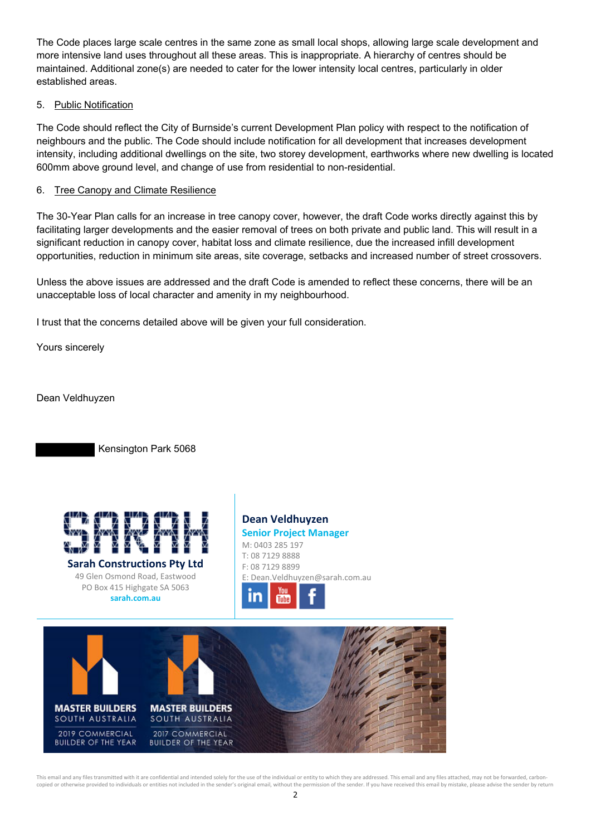The Code places large scale centres in the same zone as small local shops, allowing large scale development and more intensive land uses throughout all these areas. This is inappropriate. A hierarchy of centres should be maintained. Additional zone(s) are needed to cater for the lower intensity local centres, particularly in older established areas.

## 5. Public Notification

The Code should reflect the City of Burnside's current Development Plan policy with respect to the notification of neighbours and the public. The Code should include notification for all development that increases development intensity, including additional dwellings on the site, two storey development, earthworks where new dwelling is located 600mm above ground level, and change of use from residential to non-residential.

## 6. Tree Canopy and Climate Resilience

The 30-Year Plan calls for an increase in tree canopy cover, however, the draft Code works directly against this by facilitating larger developments and the easier removal of trees on both private and public land. This will result in a significant reduction in canopy cover, habitat loss and climate resilience, due the increased infill development opportunities, reduction in minimum site areas, site coverage, setbacks and increased number of street crossovers.

Unless the above issues are addressed and the draft Code is amended to reflect these concerns, there will be an unacceptable loss of local character and amenity in my neighbourhood.

I trust that the concerns detailed above will be given your full consideration.

Yours sincerely

Dean Veldhuyzen

Kensington Park 5068



**sarah.com.au**

**Dean Veldhuyzen Senior Project Manager** M: 0403 285 197 T: 08 7129 8888 F: 08 7129 8899 E: Dean.Veldhuyzen@sarah.com.au



This email and any files transmitted with it are confidential and intended solely for the use of the individual or entity to which they are addressed. This email and any files attached, may not be forwarded, carbon copied or otherwise provided to individuals or entities not included in the sender's original email, without the permission of the sender. If you have received this email by mistake, please advise the sender by return